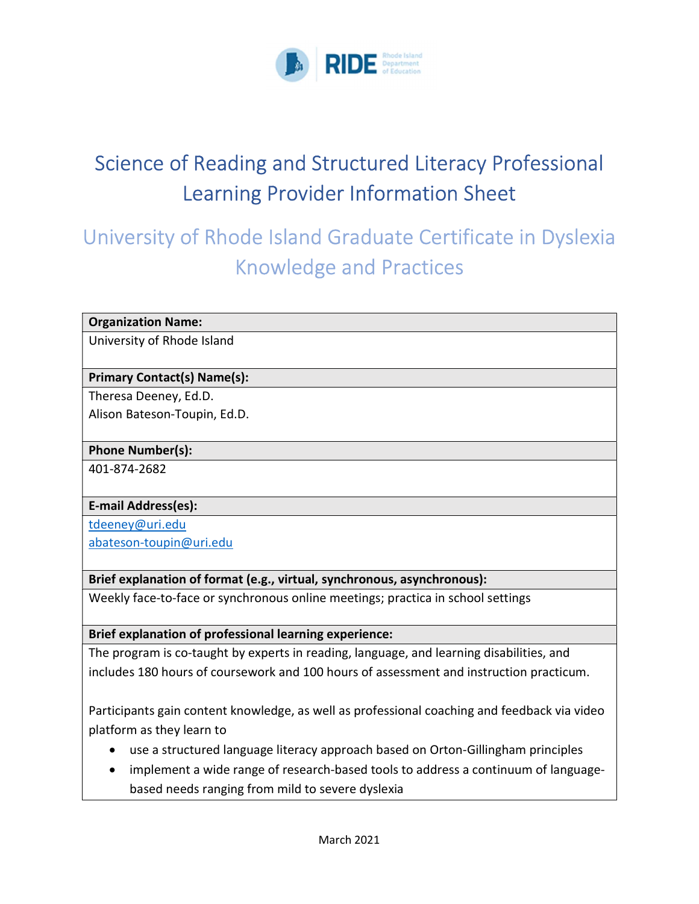

# Science of Reading and Structured Literacy Professional Learning Provider Information Sheet

## University of Rhode Island Graduate Certificate in Dyslexia Knowledge and Practices

#### Organization Name:

University of Rhode Island

## Primary Contact(s) Name(s):

Theresa Deeney, Ed.D.

Alison Bateson-Toupin, Ed.D.

#### Phone Number(s):

401-874-2682

## E-mail Address(es):

tdeeney@uri.edu

abateson-toupin@uri.edu

## Brief explanation of format (e.g., virtual, synchronous, asynchronous):

Weekly face-to-face or synchronous online meetings; practica in school settings

Brief explanation of professional learning experience:

The program is co-taught by experts in reading, language, and learning disabilities, and includes 180 hours of coursework and 100 hours of assessment and instruction practicum.

Participants gain content knowledge, as well as professional coaching and feedback via video platform as they learn to

- use a structured language literacy approach based on Orton-Gillingham principles
- implement a wide range of research-based tools to address a continuum of languagebased needs ranging from mild to severe dyslexia